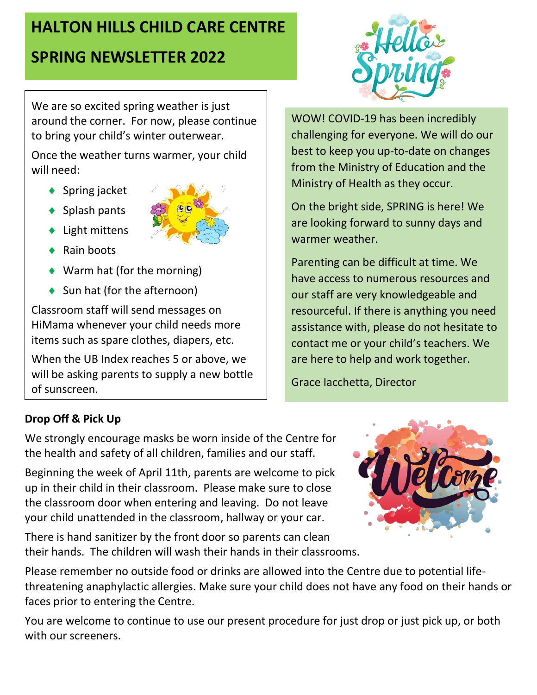# **HALTON HILLS CHILD CARE CENTRE**

# **SPRING NEWSLETTER 2022**

We are so excited spring weather is just around the corner. For now, please continue to bring your child's winter outerwear.

Once the weather turns warmer, your child will need:

- ◆ Spring jacket
- $\blacklozenge$  Splash pants
- ◆ Light mittens
- $\triangle$  Rain boots
- ◆ Warm hat (for the morning)
- ◆ Sun hat (for the afternoon)

Classroom staff will send messages on HiMama whenever your child needs more items such as spare clothes, diapers, etc.

When the UB Index reaches 5 or above, we will be asking parents to supply a new bottle of sunscreen.



WOW! COVID-19 has been incredibly challenging for everyone. We will do our best to keep you up-to-date on changes from the Ministry of Education and the Ministry of Health as they occur.

On the bright side, SPRING is here! We are looking forward to sunny days and warmer weather.

Parenting can be difficult at time. We have access to numerous resources and our staff are very knowledgeable and resourceful. If there is anything you need assistance with, please do not hesitate to contact me or your child's teachers. We are here to help and work together.

Grace Iacchetta, Director

## **Drop Off & Pick Up**

We strongly encourage masks be worn inside of the Centre for the health and safety of all children, families and our staff.

Beginning the week of April 11th, parents are welcome to pick up in their child in their classroom. Please make sure to close the classroom door when entering and leaving. Do not leave your child unattended in the classroom, hallway or your car.

There is hand sanitizer by the front door so parents can clean their hands. The children will wash their hands in their classrooms.



Please remember no outside food or drinks are allowed into the Centre due to potential lifethreatening anaphylactic allergies. Make sure your child does not have any food on their hands or faces prior to entering the Centre.

You are welcome to continue to use our present procedure for just drop or just pick up, or both with our screeners.

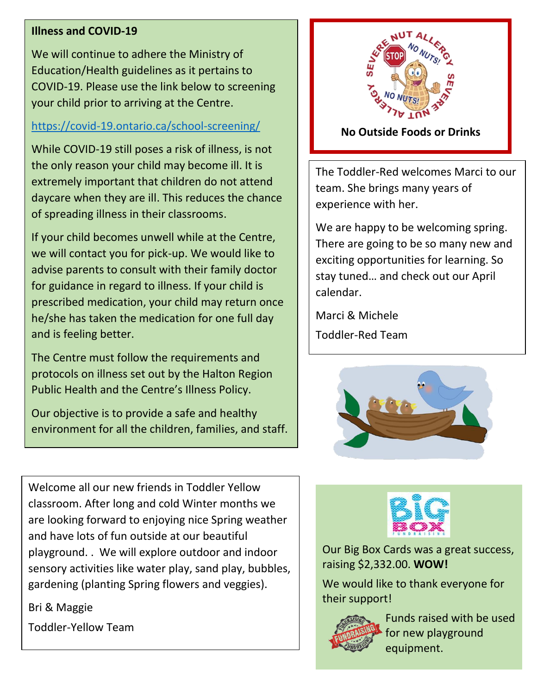#### **Illness and COVID-19**

We will continue to adhere the Ministry of Education/Health guidelines as it pertains to COVID-19. Please use the link below to screening your child prior to arriving at the Centre.

#### <https://covid-19.ontario.ca/school-screening/>

While COVID-19 still poses a risk of illness, is not the only reason your child may become ill. It is extremely important that children do not attend daycare when they are ill. This reduces the chance of spreading illness in their classrooms.

If your child becomes unwell while at the Centre, we will contact you for pick-up. We would like to advise parents to consult with their family doctor for guidance in regard to illness. If your child is prescribed medication, your child may return once he/she has taken the medication for one full day and is feeling better.

The Centre must follow the requirements and protocols on illness set out by the Halton Region Public Health and the Centre's Illness Policy.

Our objective is to provide a safe and healthy environment for all the children, families, and staff.

Welcome all our new friends in Toddler Yellow classroom. After long and cold Winter months we are looking forward to enjoying nice Spring weather and have lots of fun outside at our beautiful playground. . We will explore outdoor and indoor sensory activities like water play, sand play, bubbles, gardening (planting Spring flowers and veggies).

Bri & Maggie Toddler-Yellow Team



#### **No Outside Foods or Drinks**

The Toddler-Red welcomes Marci to our team. She brings many years of experience with her.

**No Outside** There are going to be so many new and **Foods or Drinks** exciting opportunities for learning. So We are happy to be welcoming spring. stay tuned… and check out our April calendar.

Marci & Michele Toddler-Red Team





Our Big Box Cards was a great success, raising \$2,332.00. **WOW!**

We would like to thank everyone for their support!



Funds raised with be used for new playground equipment.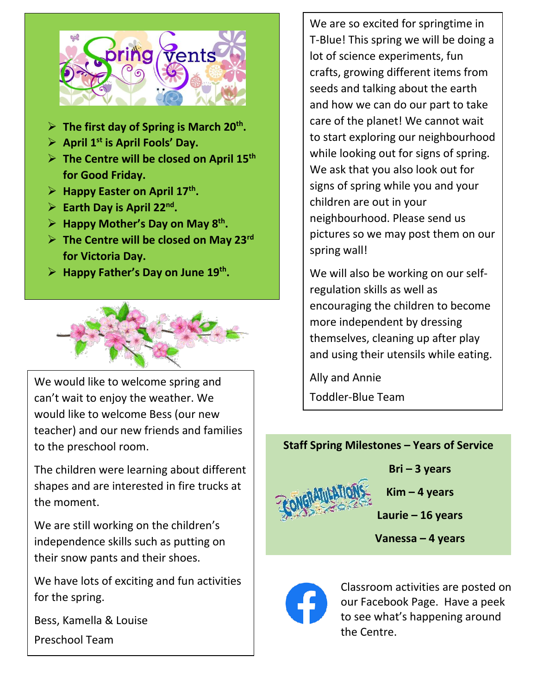

- ➢ **The first day of Spring is March 20th .**
- ➢ **April 1st is April Fools' Day.**
- ➢ **The Centre will be closed on April 15th for Good Friday.**
- ➢ **Happy Easter on April 17th .**
- ➢ **Earth Day is April 22nd .**
- ➢ **Happy Mother's Day on May 8th .**
- ➢ **The Centre will be closed on May 23rd for Victoria Day.**
- ➢ **Happy Father's Day on June 19th .**



We would like to welcome spring and can't wait to enjoy the weather. We would like to welcome Bess (our new teacher) and our new friends and families to the preschool room.

The children were learning about different shapes and are interested in fire trucks at the moment.

We are still working on the children's independence skills such as putting on their snow pants and their shoes.

We have lots of exciting and fun activities for the spring.

Bess, Kamella & Louise

Preschool Team

We are so excited for springtime in T-Blue! This spring we will be doing a lot of science experiments, fun crafts, growing different items from seeds and talking about the earth and how we can do our part to take care of the planet! We cannot wait to start exploring our neighbourhood while looking out for signs of spring. We ask that you also look out for signs of spring while you and your children are out in your neighbourhood. Please send us pictures so we may post them on our spring wall!

We will also be working on our selfregulation skills as well as encouraging the children to become more independent by dressing themselves, cleaning up after play and using their utensils while eating.

Ally and Annie Toddler-Blue Team

## **Staff Spring Milestones – Years of Service**



**Bri – 3 years**

**Kim – 4 years**

**Laurie – 16 years**

**Vanessa – 4 years**



Classroom activities are posted on our Facebook Page. Have a peek to see what's happening around the Centre.